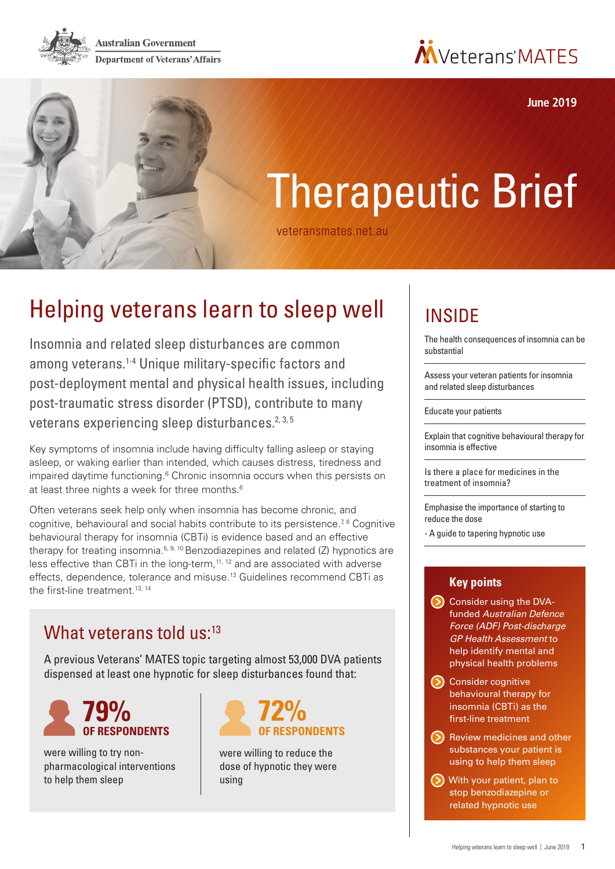**Australian Government Department of Veterans' Affairs** 



**June 2019**

# Therapeutic Brief

[veteransmates.net.au](www.veteransmates.net.au)

# Helping veterans learn to sleep well

Insomnia and related sleep disturbances are common among veterans.1-4 Unique military-specific factors and post-deployment mental and physical health issues, including post-traumatic stress disorder (PTSD), contribute to many veterans experiencing sleep disturbances.<sup>2, 3, 5</sup>

Key symptoms of insomnia include having difficulty falling asleep or staying asleep, or waking earlier than intended, which causes distress, tiredness and impaired daytime functioning.<sup>6</sup> Chronic insomnia occurs when this persists on at least three nights a week for three months.<sup>6</sup>

Often veterans seek help only when insomnia has become chronic, and cognitive, behavioural and social habits contribute to its persistence.<sup>7,8</sup> Cognitive behavioural therapy for insomnia (CBTi) is evidence based and an effective therapy for treating insomnia.<sup>5, 9, 10</sup> Benzodiazepines and related  $(Z)$  hypnotics are less effective than CBTi in the long-term,<sup>11, 12</sup> and are associated with adverse effects, dependence, tolerance and misuse.13 Guidelines recommend CBTi as the first-line treatment.<sup>13, 14</sup>

### What veterans told us:<sup>13</sup>

A previous Veterans' MATES topic targeting almost 53,000 DVA patients dispensed at least one hypnotic for sleep disturbances found that:



were willing to try nonpharmacological interventions to help them sleep



were willing to reduce the dose of hypnotic they were using

# INSIDE

[The health consequences of insomnia can be](#page-1-0)  [substantial](#page-1-0) 

[Assess your veteran patients for insomnia](#page-1-0)  [and related sleep disturbances](#page-1-0)

[Educate your patients](#page-2-0) 

[Explain that cognitive behavioural therapy for](#page-2-0)  [insomnia is effective](#page-2-0) 

[Is there a place for medicines in the](#page-3-0)  [treatment of insomnia?](#page-3-0)

[Emphasise the importance of starting to](#page-3-0)  [reduce the dose](#page-3-0)

[- A guide to tapering hypnotic use](#page-3-0)

#### **Key points**

- Consider using the DVAfunded *Australian Defence Force (ADF) Post-discharge GP Health Assessment* to help identify mental and physical health problems
- Consider cognitive behavioural therapy for insomnia (CBTi) as the first-line treatment
- (b) Review medicines and other substances your patient is using to help them sleep
- With your patient, plan to stop benzodiazepine or related hypnotic use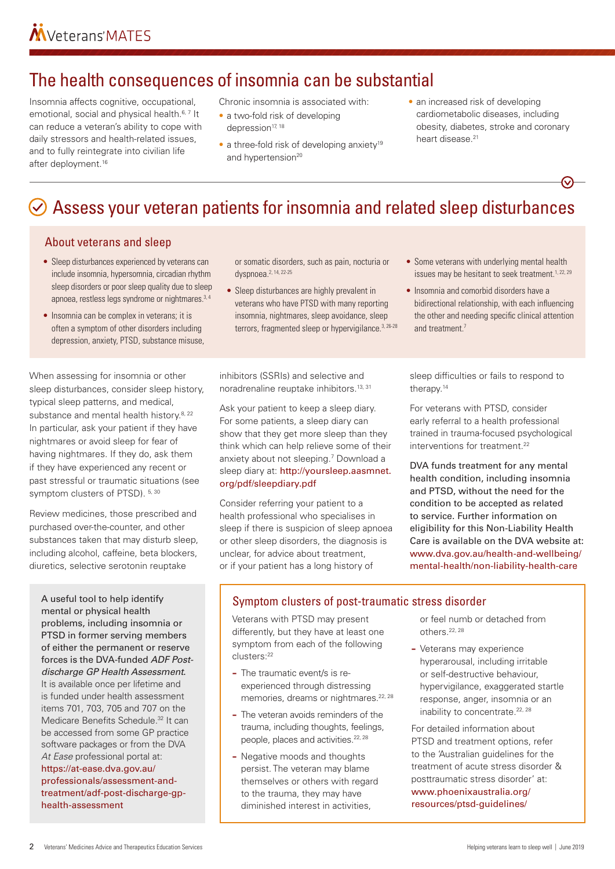# <span id="page-1-0"></span>The health consequences of insomnia can be substantial

Insomnia affects cognitive, occupational, emotional, social and physical health.<sup>6, 7</sup> It can reduce a veteran's ability to cope with daily stressors and health-related issues, and to fully reintegrate into civilian life after deployment.16

Chronic insomnia is associated with:

- a two-fold risk of developing depression<sup>17, 18</sup>
- $\bullet$  a three-fold risk of developing anxiety<sup>19</sup> and hypertension<sup>20</sup>
- an increased risk of developing cardiometabolic diseases, including obesity, diabetes, stroke and coronary heart disease.<sup>21</sup>

# $\odot$  Assess your veteran patients for insomnia and related sleep disturbances

#### About veterans and sleep

- Sleep disturbances experienced by veterans can include insomnia, hypersomnia, circadian rhythm sleep disorders or poor sleep quality due to sleep apnoea, restless legs syndrome or nightmares.<sup>3, 4</sup>
- Insomnia can be complex in veterans; it is often a symptom of other disorders including depression, anxiety, PTSD, substance misuse,

When assessing for insomnia or other sleep disturbances, consider sleep history, typical sleep patterns, and medical, substance and mental health history.<sup>8, 22</sup> In particular, ask your patient if they have nightmares or avoid sleep for fear of having nightmares. If they do, ask them if they have experienced any recent or past stressful or traumatic situations (see symptom clusters of PTSD). 5, 30

Review medicines, those prescribed and purchased over-the-counter, and other substances taken that may disturb sleep, including alcohol, caffeine, beta blockers, diuretics, selective serotonin reuptake

A useful tool to help identify mental or physical health problems, including insomnia or PTSD in former serving members of either the permanent or reserve forces is the DVA-funded *ADF Postdischarge GP Health Assessment*. It is available once per lifetime and is funded under health assessment items 701, 703, 705 and 707 on the Medicare Benefits Schedule.<sup>32</sup> It can be accessed from some GP practice software packages or from the DVA *At Ease* professional portal at: [https://at-ease.dva.gov.au/](https://at-ease.dva.gov.au/professionals/assessment-and-treatment/adf-post-discharge-gp-health-assessment) [professionals/assessment-and](https://at-ease.dva.gov.au/professionals/assessment-and-treatment/adf-post-discharge-gp-health-assessment)[treatment/adf-post-discharge-gp](https://at-ease.dva.gov.au/professionals/assessment-and-treatment/adf-post-discharge-gp-health-assessment)[health-assessment](https://at-ease.dva.gov.au/professionals/assessment-and-treatment/adf-post-discharge-gp-health-assessment)

or somatic disorders, such as pain, nocturia or dyspnoea.2, 14, 22-25

• Sleep disturbances are highly prevalent in veterans who have PTSD with many reporting insomnia, nightmares, sleep avoidance, sleep terrors, fragmented sleep or hypervigilance.<sup>3, 26-28</sup>

inhibitors (SSRIs) and selective and noradrenaline reuptake inhibitors.13, 31

Ask your patient to keep a sleep diary. For some patients, a sleep diary can show that they get more sleep than they think which can help relieve some of their anxiety about not sleeping.<sup>7</sup> Download a sleep diary at: [http://yoursleep.aasmnet.](http://yoursleep.aasmnet.org/pdf/sleepdiary.pdf) [org/pdf/sleepdiary.pdf](http://yoursleep.aasmnet.org/pdf/sleepdiary.pdf)

Consider referring your patient to a health professional who specialises in sleep if there is suspicion of sleep apnoea or other sleep disorders, the diagnosis is unclear, for advice about treatment, or if your patient has a long history of

• Some veterans with underlying mental health issues may be hesitant to seek treatment.<sup>1, 22, 29</sup>

• Insomnia and comorbid disorders have a bidirectional relationship, with each influencing the other and needing specific clinical attention and treatment<sup>7</sup>

sleep difficulties or fails to respond to therapy.<sup>14</sup>

For veterans with PTSD, consider early referral to a health professional trained in trauma-focused psychological interventions for treatment.<sup>22</sup>

DVA funds treatment for any mental health condition, including insomnia and PTSD, without the need for the condition to be accepted as related to service. Further information on eligibility for this Non-Liability Health Care is available on the DVA website at: [www.dva.gov.au/health-and-wellbeing/](http://www.dva.gov.au/health-and-wellbeing/mental-health/non-liability-health-care) [mental-health/non-liability-health-care](http://www.dva.gov.au/health-and-wellbeing/mental-health/non-liability-health-care)

#### Symptom clusters of post-traumatic stress disorder

Veterans with PTSD may present differently, but they have at least one symptom from each of the following clusters:22

- **–** The traumatic event/s is reexperienced through distressing memories, dreams or nightmares.<sup>22, 28</sup>
- **–** The veteran avoids reminders of the trauma, including thoughts, feelings, people, places and activities.<sup>22, 28</sup>
- **–** Negative moods and thoughts persist. The veteran may blame themselves or others with regard to the trauma, they may have diminished interest in activities,

or feel numb or detached from others.22, 28

**–** Veterans may experience hyperarousal, including irritable or self-destructive behaviour, hypervigilance, exaggerated startle response, anger, insomnia or an inability to concentrate.<sup>22, 28</sup>

For detailed information about PTSD and treatment options, refer to the 'Australian guidelines for the treatment of acute stress disorder & posttraumatic stress disorder' at: [www.phoenixaustralia.org/](http://www.phoenixaustralia.org/resources/ptsd-guidelines/ ) [resources/ptsd-guidelines/](http://www.phoenixaustralia.org/resources/ptsd-guidelines/ )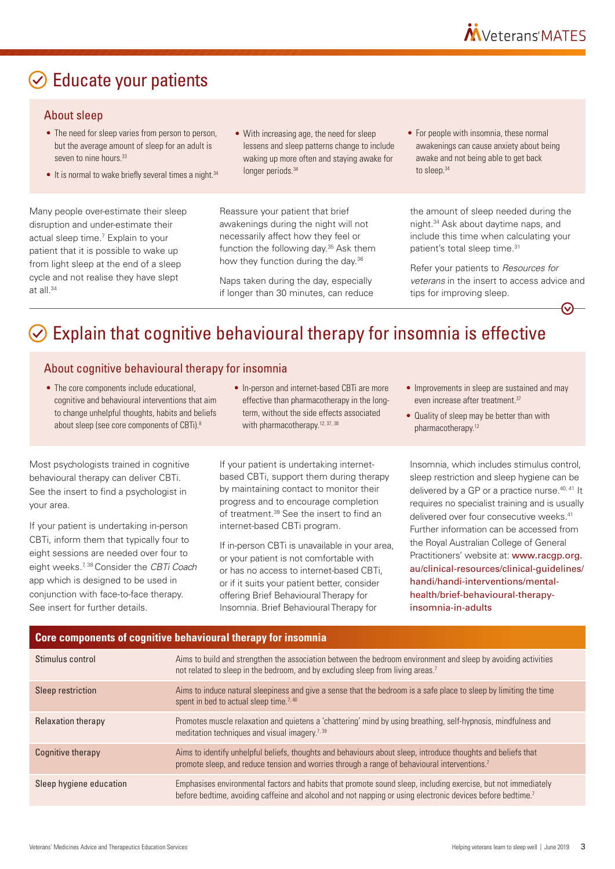# <span id="page-2-0"></span> $\odot$  Educate your patients

#### About sleep

- The need for sleep varies from person to person. but the average amount of sleep for an adult is seven to nine hours<sup>33</sup>
- It is normal to wake briefly several times a night.<sup>34</sup>

Many people over-estimate their sleep disruption and under-estimate their actual sleep time.7 Explain to your patient that it is possible to wake up from light sleep at the end of a sleep cycle and not realise they have slept at all.34

• With increasing age, the need for sleep lessens and sleep patterns change to include waking up more often and staying awake for longer periods.<sup>34</sup>

Reassure your patient that brief awakenings during the night will not necessarily affect how they feel or function the following day.35 Ask them how they function during the day.<sup>36</sup>

Naps taken during the day, especially if longer than 30 minutes, can reduce • For people with insomnia, these normal awakenings can cause anxiety about being awake and not being able to get back to sleep.<sup>34</sup>

the amount of sleep needed during the night.34 Ask about daytime naps, and include this time when calculating your patient's total sleep time.<sup>31</sup>

Refer your patients to *Resources for veterans* in the insert to access advice and tips for improving sleep.

# $\odot$  Explain that cognitive behavioural therapy for insomnia is effective

#### About cognitive behavioural therapy for insomnia

- The core components include educational, cognitive and behavioural interventions that aim to change unhelpful thoughts, habits and beliefs about sleep (see core components of CBTi).<sup>8</sup>
- In-person and internet-based CBTi are more effective than pharmacotherapy in the longterm, without the side effects associated with pharmacotherapy.<sup>12, 37, 38</sup>

Most psychologists trained in cognitive behavioural therapy can deliver CBTi. See the insert to find a psychologist in your area.

If your patient is undertaking in-person CBTi, inform them that typically four to eight sessions are needed over four to eight weeks.7, 38 Consider the *CBTi Coach* app which is designed to be used in conjunction with face-to-face therapy. See insert for further details.

If your patient is undertaking internetbased CBTi, support them during therapy by maintaining contact to monitor their progress and to encourage completion of treatment.39 See the insert to find an internet-based CBTi program.

If in-person CBTi is unavailable in your area, or your patient is not comfortable with or has no access to internet-based CBTi, or if it suits your patient better, consider offering Brief Behavioural Therapy for Insomnia. Brief Behavioural Therapy for

- Improvements in sleep are sustained and may even increase after treatment.<sup>37</sup>
- Quality of sleep may be better than with pharmacotherapy.12

Insomnia, which includes stimulus control, sleep restriction and sleep hygiene can be delivered by a GP or a practice nurse.<sup>40, 41</sup> It requires no specialist training and is usually delivered over four consecutive weeks.<sup>41</sup> Further information can be accessed from the Royal Australian College of General Practitioners' website at: [www.racgp.org.](https://www.racgp.org.au/clinical-resources/clinical-guidelines/handi/handi-interventions/mental-health/brief-behavioural-therapy-insomnia-in-adults) [au/clinical-resources/clinical-guidelines/](https://www.racgp.org.au/clinical-resources/clinical-guidelines/handi/handi-interventions/mental-health/brief-behavioural-therapy-insomnia-in-adults) [handi/handi-interventions/mental](https://www.racgp.org.au/clinical-resources/clinical-guidelines/handi/handi-interventions/mental-health/brief-behavioural-therapy-insomnia-in-adults)[health/brief-behavioural-therapy](https://www.racgp.org.au/clinical-resources/clinical-guidelines/handi/handi-interventions/mental-health/brief-behavioural-therapy-insomnia-in-adults)[insomnia-in-adults](https://www.racgp.org.au/clinical-resources/clinical-guidelines/handi/handi-interventions/mental-health/brief-behavioural-therapy-insomnia-in-adults)

#### **Core components of cognitive behavioural therapy for insomnia**

| Stimulus control          | Aims to build and strengthen the association between the bedroom environment and sleep by avoiding activities<br>not related to sleep in the bedroom, and by excluding sleep from living areas. <sup>7</sup>                            |  |
|---------------------------|-----------------------------------------------------------------------------------------------------------------------------------------------------------------------------------------------------------------------------------------|--|
| Sleep restriction         | Aims to induce natural sleepiness and give a sense that the bedroom is a safe place to sleep by limiting the time<br>spent in bed to actual sleep time. <sup>7, 40</sup>                                                                |  |
| <b>Relaxation therapy</b> | Promotes muscle relaxation and quietens a 'chattering' mind by using breathing, self-hypnosis, mindfulness and<br>meditation techniques and visual imagery. <sup>7,39</sup>                                                             |  |
| Cognitive therapy         | Aims to identify unhelpful beliefs, thoughts and behaviours about sleep, introduce thoughts and beliefs that<br>promote sleep, and reduce tension and worries through a range of behavioural interventions. <sup>7</sup>                |  |
| Sleep hygiene education   | Emphasises environmental factors and habits that promote sound sleep, including exercise, but not immediately<br>before bedtime, avoiding caffeine and alcohol and not napping or using electronic devices before bedtime. <sup>7</sup> |  |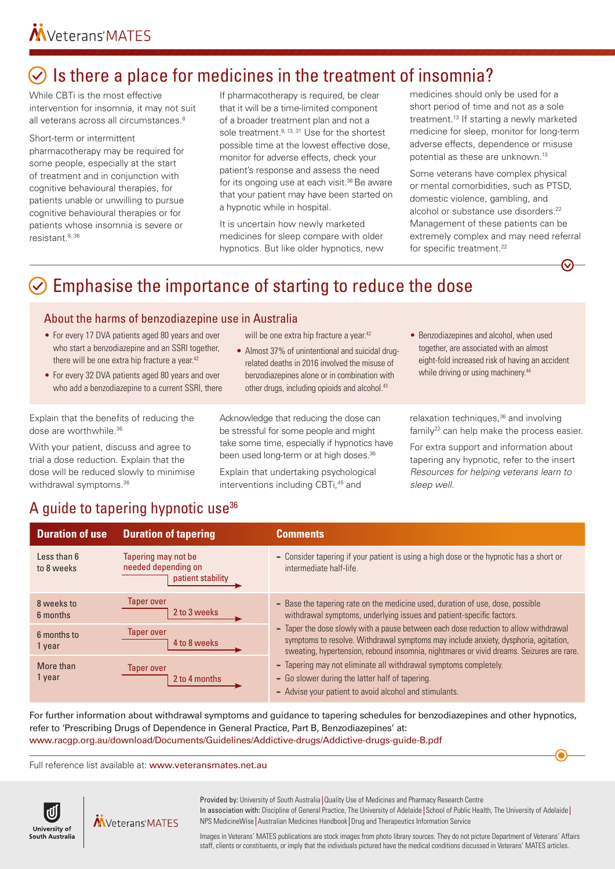# <span id="page-3-0"></span> $\odot$  Is there a place for medicines in the treatment of insomnia?

While CBTi is the most effective intervention for insomnia, it may not suit all veterans across all circumstances.<sup>8</sup>

#### Short-term or intermittent

pharmacotherapy may be required for some people, especially at the start of treatment and in conjunction with cognitive behavioural therapies, for patients unable or unwilling to pursue cognitive behavioural therapies or for patients whose insomnia is severe or resistant.8, 36

If pharmacotherapy is required, be clear that it will be a time-limited component of a broader treatment plan and not a sole treatment.<sup>8, 13, 31</sup> Use for the shortest possible time at the lowest effective dose, monitor for adverse effects, check your patient's response and assess the need for its ongoing use at each visit.<sup>36</sup> Be aware that your patient may have been started on a hypnotic while in hospital.

It is uncertain how newly marketed medicines for sleep compare with older hypnotics. But like older hypnotics, new medicines should only be used for a short period of time and not as a sole treatment.13 If starting a newly marketed medicine for sleep, monitor for long-term adverse effects, dependence or misuse potential as these are unknown.13

Some veterans have complex physical or mental comorbidities, such as PTSD, domestic violence, gambling, and alcohol or substance use disorders.<sup>22</sup> Management of these patients can be extremely complex and may need referral for specific treatment.<sup>22</sup>

# $\heartsuit$  Emphasise the importance of starting to reduce the dose

#### About the harms of benzodiazepine use in Australia

- For every 17 DVA patients aged 80 years and over who start a benzodiazepine and an SSRI together, there will be one extra hip fracture a year.<sup>42</sup>
- For every 32 DVA patients aged 80 years and over who add a benzodiazepine to a current SSRI, there

Explain that the benefits of reducing the dose are worthwhile.36

With your patient, discuss and agree to trial a dose reduction. Explain that the dose will be reduced slowly to minimise withdrawal symptoms.<sup>36</sup>

will be one extra hip fracture a year.<sup>42</sup>

• Almost 37% of unintentional and suicidal drugrelated deaths in 2016 involved the misuse of benzodiazepines alone or in combination with other drugs, including opioids and alcohol.<sup>43</sup>

Acknowledge that reducing the dose can be stressful for some people and might take some time, especially if hypnotics have been used long-term or at high doses.<sup>36</sup>

Explain that undertaking psychological interventions including CBTi.<sup>45</sup> and

• Benzodiazepines and alcohol, when used together, are associated with an almost eight-fold increased risk of having an accident while driving or using machinery.<sup>44</sup>

relaxation techniques,<sup>36</sup> and involving  $f$ amily<sup>22</sup> can help make the process easier.

For extra support and information about tapering any hypnotic, refer to the insert *Resources for helping veterans learn to sleep well.*

### A quide to tapering hypnotic use<sup>36</sup>

| <b>Duration of use</b>    | <b>Duration of tapering</b>                                     | <b>Comments</b>                                                                                                                                                                                                                                                                                                                                                                                                                                                                                                                                                                                                    |
|---------------------------|-----------------------------------------------------------------|--------------------------------------------------------------------------------------------------------------------------------------------------------------------------------------------------------------------------------------------------------------------------------------------------------------------------------------------------------------------------------------------------------------------------------------------------------------------------------------------------------------------------------------------------------------------------------------------------------------------|
| Less than 6<br>to 8 weeks | Tapering may not be<br>needed depending on<br>patient stability | - Consider tapering if your patient is using a high dose or the hypnotic has a short or<br>intermediate half-life.                                                                                                                                                                                                                                                                                                                                                                                                                                                                                                 |
| 8 weeks to<br>6 months    | <b>Taper over</b><br>2 to 3 weeks                               | - Base the tapering rate on the medicine used, duration of use, dose, possible<br>withdrawal symptoms, underlying issues and patient-specific factors.<br>- Taper the dose slowly with a pause between each dose reduction to allow withdrawal<br>symptoms to resolve. Withdrawal symptoms may include anxiety, dysphoria, agitation,<br>sweating, hypertension, rebound insomnia, nightmares or vivid dreams. Seizures are rare.<br>- Tapering may not eliminate all withdrawal symptoms completely.<br>- Go slower during the latter half of tapering.<br>- Advise your patient to avoid alcohol and stimulants. |
| 6 months to<br>1 year     | Taper over<br>4 to 8 weeks                                      |                                                                                                                                                                                                                                                                                                                                                                                                                                                                                                                                                                                                                    |
| More than<br>1 year       | Taper over<br>2 to 4 months                                     |                                                                                                                                                                                                                                                                                                                                                                                                                                                                                                                                                                                                                    |

For further information about withdrawal symptoms and guidance to tapering schedules for benzodiazepines and other hypnotics, refer to 'Prescribing Drugs of Dependence in General Practice, Part B, Benzodiazepines' at: [www.racgp.org.au/download/Documents/Guidelines/Addictive-drugs/Addictive-drugs-guide-B.pdf](http://www.racgp.org.au/download/Documents/Guidelines/Addictive-drugs/Addictive-drugs-guide-B.pdf)

Full reference list available at: [www.veteransmates.net.au](http://www.veteransmates.net.au/)



MVeterans'MATES

Provided by: University of South Australia | Quality Use of Medicines and Pharmacy Research Centre In association with: Discipline of General Practice, The University of Adelaide School of Public Health, The University of Adelaide NPS MedicineWise | Australian Medicines Handbook | Drug and Therapeutics Information Service

Images in Veterans' MATES publications are stock images from photo library sources. They do not picture Department of Veterans' Affairs staff, clients or constituents, or imply that the individuals pictured have the medical conditions discussed in Veterans' MATES articles.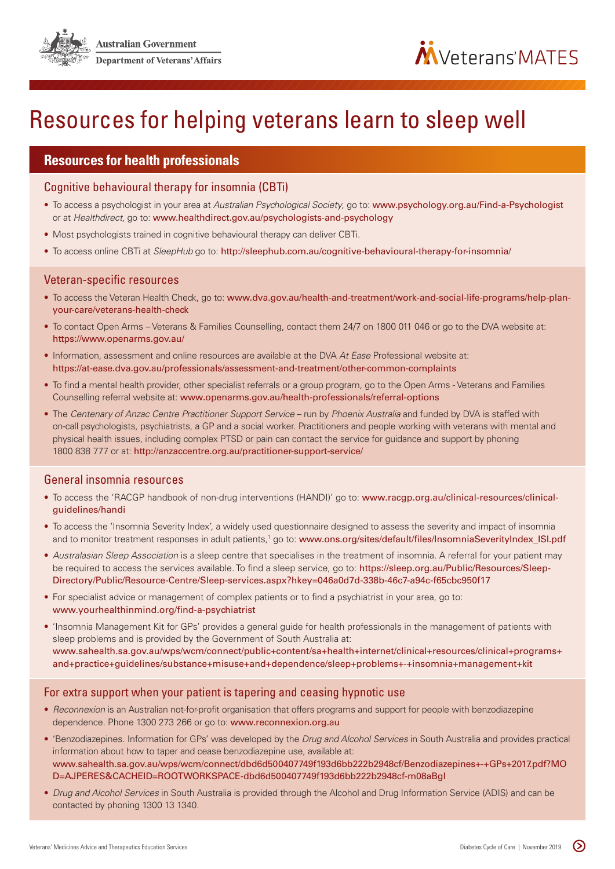

# Resources for helping veterans learn to sleep well

#### **Resources for health professionals**

Cognitive behavioural therapy for insomnia (CBTi)

- To access a psychologist in your area at *Australian Psychological Society*, go to: [www.psychology.org.au/Find-a-Psychologist](http://www.psychology.org.au/Find-a-Psychologist) or at *Healthdirect*, go to: [www.healthdirect.gov.au/psychologists-and-psychology](http://www.healthdirect.gov.au/psychologists-and-psychology)
- Most psychologists trained in cognitive behavioural therapy can deliver CBTi.
- To access online CBTi at *SleepHub* go to: <http://sleephub.com.au/cognitive-behavioural-therapy-for-insomnia/>

#### Veteran-specific resources

- To access the Veteran Health Check, go to: [www.dva.gov.au/health-and-treatment/work-and-social-life-programs/help-plan](https://www.dva.gov.au/health-and-treatment/work-and-social-life-programs/help-plan-your-care/veterans-health-check)[your-care/veterans-health-check](https://www.dva.gov.au/health-and-treatment/work-and-social-life-programs/help-plan-your-care/veterans-health-check)
- To contact Open Arms Veterans & Families Counselling, contact them 24/7 on 1800 011 046 or go to the DVA website at: <https://www.openarms.gov.au/>
- Information, assessment and online resources are available at the DVA *At Ease* Professional website at: <https://at-ease.dva.gov.au/professionals/assessment-and-treatment/other-common-complaints>
- To find a mental health provider, other specialist referrals or a group program, go to the Open Arms Veterans and Families Counselling referral website at: [www.openarms.gov.au/health-professionals/referral-options](https://www.openarms.gov.au/health-professionals/referral-options)
- The *Centenary of Anzac Centre Practitioner Support Service* run by *Phoenix Australia* and funded by DVA is staffed with on-call psychologists, psychiatrists, a GP and a social worker. Practitioners and people working with veterans with mental and physical health issues, including complex PTSD or pain can contact the service for guidance and support by phoning 1800 838 777 or at: <http://anzaccentre.org.au/practitioner-support-service/>

#### General insomnia resources

- To access the 'RACGP handbook of non-drug interventions (HANDI)' go to: [www.racgp.org.au/clinical-resources/clinical](https://www.racgp.org.au/clinical-resources/clinical-guidelines/handi)[guidelines/handi](https://www.racgp.org.au/clinical-resources/clinical-guidelines/handi)
- To access the 'Insomnia Severity Index', a widely used questionnaire designed to assess the severity and impact of insomnia and to monitor treatment responses in adult patients,<sup>1</sup> go to: [www.ons.org/sites/default/files/InsomniaSeverityIndex\\_ISI.pdf](http://www.ons.org/sites/default/files/InsomniaSeverityIndex_ISI.pdf)
- *Australasian Sleep Association* is a sleep centre that specialises in the treatment of insomnia. A referral for your patient may be required to access the services available. To find a sleep service, go to: [https://sleep.org.au/Public/Resources/Sleep-](https://sleep.org.au/Public/Resources/Sleep-Directory/Public/Resource-Centre/Sleep-services.aspx?hkey=046a0d7d-338b-46c7-a94c-f65cbc950f17)[Directory/Public/Resource-Centre/Sleep-services.aspx?hkey=046a0d7d-338b-46c7-a94c-f65cbc950f17](https://sleep.org.au/Public/Resources/Sleep-Directory/Public/Resource-Centre/Sleep-services.aspx?hkey=046a0d7d-338b-46c7-a94c-f65cbc950f17)
- For specialist advice or management of complex patients or to find a psychiatrist in your area, go to: [www.yourhealthinmind.org/find-a-psychiatrist](http://www.yourhealthinmind.org/find-a-psychiatrist)
- 'Insomnia Management Kit for GPs' provides a general guide for health professionals in the management of patients with sleep problems and is provided by the Government of South Australia at: [www.sahealth.sa.gov.au/wps/wcm/connect/public+content/sa+health+internet/clinical+resources/clinical+programs+](https://www.sahealth.sa.gov.au/wps/wcm/connect/public+content/sa+health+internet/clinical+resources/clinical+programs+and+practice+guidelines/substance+misuse+and+dependence/sleep+problems+-+insomnia+management+kit) [and+practice+guidelines/substance+misuse+and+dependence/sleep+problems+-+insomnia+management+kit](https://www.sahealth.sa.gov.au/wps/wcm/connect/public+content/sa+health+internet/clinical+resources/clinical+programs+and+practice+guidelines/substance+misuse+and+dependence/sleep+problems+-+insomnia+management+kit)

#### For extra support when your patient is tapering and ceasing hypnotic use

- *Reconnexion* is an Australian not-for-profit organisation that offers programs and support for people with benzodiazepine dependence. Phone 1300 273 266 or go to: [www.reconnexion.org.au](http://www.reconnexion.org.au)
- 'Benzodiazepines. Information for GPs' was developed by the *Drug and Alcohol Services* in South Australia and provides practical information about how to taper and cease benzodiazepine use, available at: [www.sahealth.sa.gov.au/wps/wcm/connect/dbd6d500407749f193d6bb222b2948cf/Benzodiazepines+-+GPs+2017.pdf?MO](http://www.sahealth.sa.gov.au/wps/wcm/connect/dbd6d500407749f193d6bb222b2948cf/Benzodiazepines+-+GPs+2017.pdf?MOD=AJPERES&CACHEID=ROOTWORKSPACE-dbd6d500407749f193d6bb222b2948cf-m08aBgI) [D=AJPERES&CACHEID=ROOTWORKSPACE-dbd6d500407749f193d6bb222b2948cf-m08aBgI](http://www.sahealth.sa.gov.au/wps/wcm/connect/dbd6d500407749f193d6bb222b2948cf/Benzodiazepines+-+GPs+2017.pdf?MOD=AJPERES&CACHEID=ROOTWORKSPACE-dbd6d500407749f193d6bb222b2948cf-m08aBgI)
- *Drug and Alcohol Services* in South Australia is provided through the Alcohol and Drug Information Service (ADIS) and can be contacted by phoning 1300 13 1340.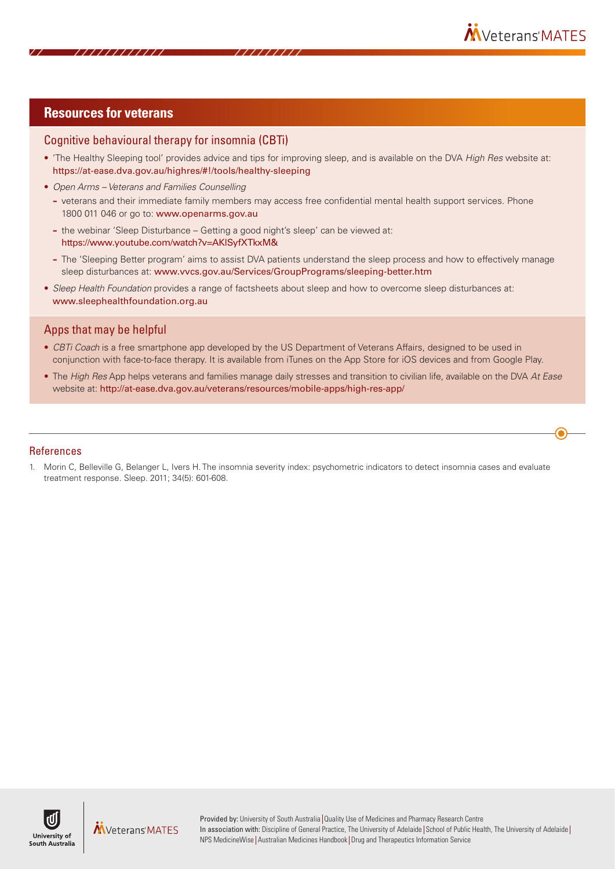#### **Resources for veterans**

#### Cognitive behavioural therapy for insomnia (CBTi)

- 'The Healthy Sleeping tool' provides advice and tips for improving sleep, and is available on the DVA *High Res* website at: https://at-ease.dva.gov.au/highres/#!/tools/healthy-sleeping
- *Open Arms Veterans and Families Counselling*
	- **–** veterans and their immediate family members may access free confidential mental health support services. Phone 1800 011 046 or go to: www.openarms.gov.au
	- **–** the webinar 'Sleep Disturbance Getting a good night's sleep' can be viewed at: https://www.youtube.com/watch?v=AKlSyfXTkxM&
	- **–** The 'Sleeping Better program' aims to assist DVA patients understand the sleep process and how to effectively manage sleep disturbances at: www.vvcs.gov.au/Services/GroupPrograms/sleeping-better.htm
- *Sleep Health Foundation* provides a range of factsheets about sleep and how to overcome sleep disturbances at: www.sleephealthfoundation.org.au

#### Apps that may be helpful

- *CBTi Coach* is a free smartphone app developed by the US Department of Veterans Affairs, designed to be used in conjunction with face-to-face therapy. It is available from iTunes on the App Store for iOS devices and from Google Play.
- The *High Res* App helps veterans and families manage daily stresses and transition to civilian life, available on the DVA *At Ease* website at: http://at-ease.dva.gov.au/veterans/resources/mobile-apps/high-res-app/

#### References

1. Morin C, Belleville G, Belanger L, Ivers H. The insomnia severity index: psychometric indicators to detect insomnia cases and evaluate treatment response. Sleep. 2011; 34(5): 601-608.